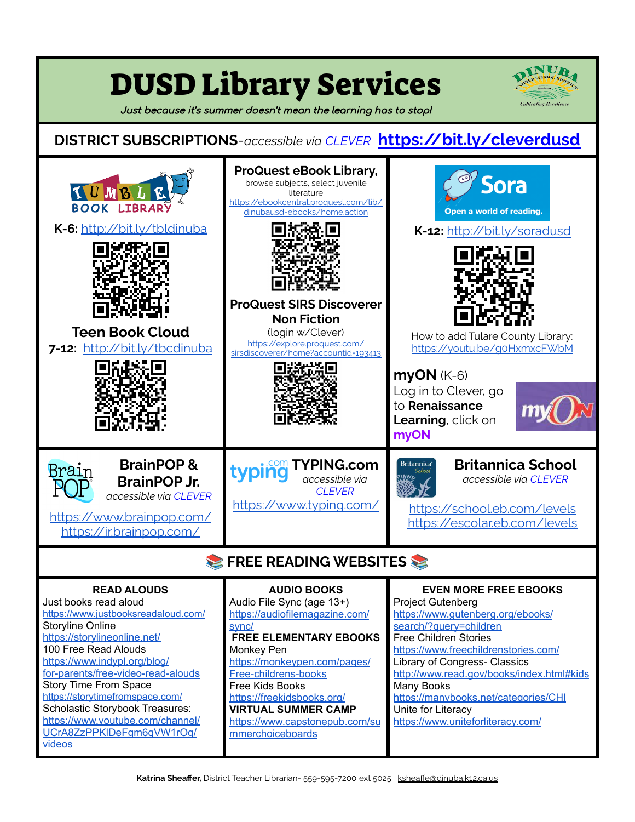| <b>DUSD Library Services</b><br>Cultivating Excellence<br>Just because it's summer doesn't mean the learning has to stop!                                                                                                                                                                                                                                                                                                    |                                                                                                                                                                                                                                                                                                                                        |                                                                                                                                                                                                                                                                                                                                                                                                |
|------------------------------------------------------------------------------------------------------------------------------------------------------------------------------------------------------------------------------------------------------------------------------------------------------------------------------------------------------------------------------------------------------------------------------|----------------------------------------------------------------------------------------------------------------------------------------------------------------------------------------------------------------------------------------------------------------------------------------------------------------------------------------|------------------------------------------------------------------------------------------------------------------------------------------------------------------------------------------------------------------------------------------------------------------------------------------------------------------------------------------------------------------------------------------------|
| <b>DISTRICT SUBSCRIPTIONS</b> -accessible via CLEVER https://bit.ly/cleverdusd                                                                                                                                                                                                                                                                                                                                               |                                                                                                                                                                                                                                                                                                                                        |                                                                                                                                                                                                                                                                                                                                                                                                |
| TUMBLE<br><b>BOOK LIBRAR</b><br>K-6: http://bit.ly/tbldinuba<br><b>Teen Book Cloud</b><br>7-12: http://bit.ly/tbcdinuba                                                                                                                                                                                                                                                                                                      | <b>ProQuest eBook Library,</b><br>browse subjects, select juvenile<br>literature<br>https://ebookcentral.proquest.com/lib/<br>dinubausd-ebooks/home.action<br><b>ProQuest SIRS Discoverer</b><br><b>Non Fiction</b><br>(login w/Clever)<br>https://explore.proquest.com/<br>sirsdiscoverer/home?accountid=193413                       | Sora<br>Open a world of reading.<br>K-12: http://bit.ly/soradusd<br>How to add Tulare County Library:<br>https://youtu.be/goHxmxcFWbM<br>myON (K-6)<br>Log in to Clever, go<br>to Renaissance<br>Learning, click on<br>myON                                                                                                                                                                    |
| <b>BrainPOP&amp;</b><br>Brain<br><b>BrainPOP Jr.</b><br>accessible via CLEVER<br>https://www.brainpop.com/<br>https://jr.brainpop.com/                                                                                                                                                                                                                                                                                       | <b>TYPING.com</b><br>accessible via<br><b>CLEVER</b><br>https://www.typing.com/                                                                                                                                                                                                                                                        | <b>Britannica School</b><br><b>Britannica</b> <sup>®</sup><br>Schoo<br>accessible via CLEVER<br>https://school.eb.com/levels<br>https://escolar.eb.com/levels                                                                                                                                                                                                                                  |
| FREE READING WEBSITES                                                                                                                                                                                                                                                                                                                                                                                                        |                                                                                                                                                                                                                                                                                                                                        |                                                                                                                                                                                                                                                                                                                                                                                                |
| <b>READ ALOUDS</b><br>Just books read aloud<br>https://www.justbooksreadaloud.com/<br><b>Storyline Online</b><br>https://storylineonline.net/<br>100 Free Read Alouds<br>https://www.indypl.org/blog/<br>for-parents/free-video-read-alouds<br>Story Time From Space<br>https://storytimefromspace.com/<br><b>Scholastic Storybook Treasures:</b><br>https://www.youtube.com/channel/<br>UCrA8ZzPPKIDeFgm6qVW1rOg/<br>videos | <b>AUDIO BOOKS</b><br>Audio File Sync (age 13+)<br>https://audiofilemagazine.com/<br>sync/<br><b>FREE ELEMENTARY EBOOKS</b><br>Monkey Pen<br>https://monkeypen.com/pages/<br>Free-childrens-books<br>Free Kids Books<br>https://freekidsbooks.org/<br><b>VIRTUAL SUMMER CAMP</b><br>https://www.capstonepub.com/su<br>mmerchoiceboards | <b>EVEN MORE FREE EBOOKS</b><br><b>Project Gutenberg</b><br>https://www.gutenberg.org/ebooks/<br>search/?query=children<br><b>Free Children Stories</b><br>https://www.freechildrenstories.com/<br>Library of Congress- Classics<br>http://www.read.gov/books/index.html#kids<br>Many Books<br>https://manybooks.net/categories/CHI<br>Unite for Literacy<br>https://www.uniteforliteracy.com/ |